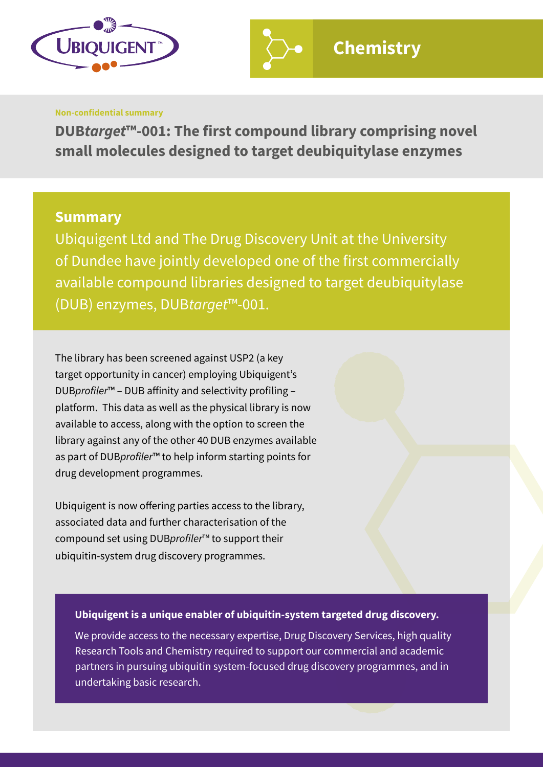

#### **Non-confidential summary**

**DUB***target***™-001: The first compound library comprising novel small molecules designed to target deubiquitylase enzymes**

## **Summary**

Ubiquigent Ltd and The Drug Discovery Unit at the University of Dundee have jointly developed one of the first commercially available compound libraries designed to target deubiquitylase (DUB) enzymes, DUB*target*™-001.

The library has been screened against USP2 (a key target opportunity in cancer) employing Ubiquigent's DUBprofiler™ – DUB affinity and selectivity profiling – platform. This data as well as the physical library is now available to access, along with the option to screen the library against any of the other 40 DUB enzymes available as part of DUBprofiler™ to help inform starting points for drug development programmes.

Ubiquigent is now offering parties access to the library, associated data and further characterisation of the compound set using DUBprofiler™ to support their ubiquitin-system drug discovery programmes.

### **Ubiquigent is a unique enabler of ubiquitin-system targeted drug discovery.**

We provide access to the necessary expertise, Drug Discovery Services, high quality Research Tools and Chemistry required to support our commercial and academic partners in pursuing ubiquitin system-focused drug discovery programmes, and in undertaking basic research.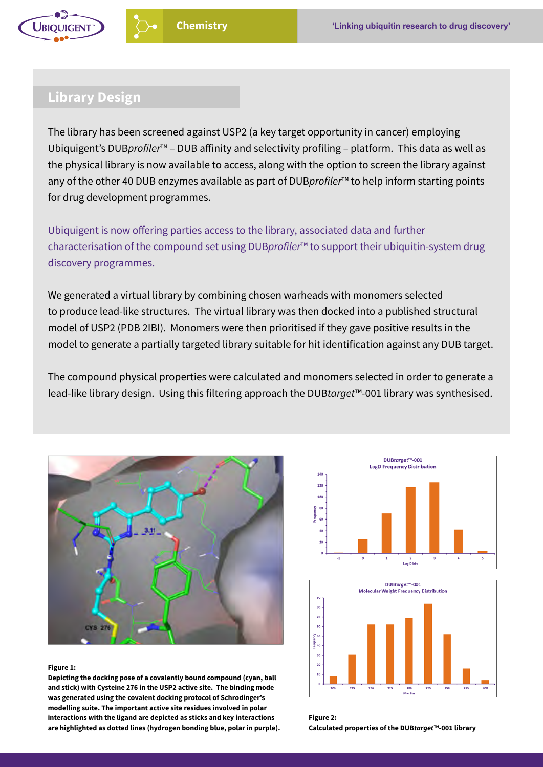

# **Library Design**

The library has been screened against USP2 (a key target opportunity in cancer) employing Ubiquigent's DUBprofiler™ – DUB affinity and selectivity profiling – platform. This data as well as the physical library is now available to access, along with the option to screen the library against any of the other 40 DUB enzymes available as part of DUBprofiler<sup>™</sup> to help inform starting points for drug development programmes.

Ubiquigent is now offering parties access to the library, associated data and further characterisation of the compound set using DUBprofiler™ to support their ubiquitin-system drug discovery programmes.

We generated a virtual library by combining chosen warheads with monomers selected to produce lead-like structures. The virtual library was then docked into a published structural model of USP2 (PDB 2IBI). Monomers were then prioritised if they gave positive results in the model to generate a partially targeted library suitable for hit identification against any DUB target.

The compound physical properties were calculated and monomers selected in order to generate a lead-like library design. Using this filtering approach the DUB*target*™-001 library was synthesised.



#### **Figure 1:**

**Depicting the docking pose of a covalently bound compound (cyan, ball and stick) with Cysteine 276 in the USP2 active site. The binding mode was generated using the covalent docking protocol of Schrodinger's modelling suite. The important active site residues involved in polar interactions with the ligand are depicted as sticks and key interactions are highlighted as dotted lines (hydrogen bonding blue, polar in purple).**





**Figure 2: Calculated properties of the DUB***target***™-001 library**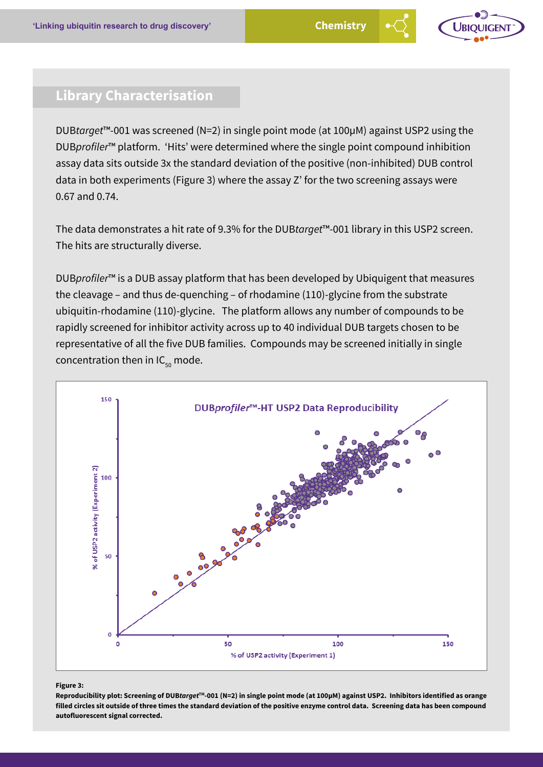

# **Library Characterisation**

DUB*target*™-001 was screened (N=2) in single point mode (at 100µM) against USP2 using the DUBprofiler<sup>™</sup> platform. 'Hits' were determined where the single point compound inhibition assay data sits outside 3x the standard deviation of the positive (non-inhibited) DUB control data in both experiments (Figure 3) where the assay Z' for the two screening assays were 0.67 and 0.74.

The data demonstrates a hit rate of 9.3% for the DUB*target*™-001 library in this USP2 screen. The hits are structurally diverse.

DUBprofiler<sup>™</sup> is a DUB assay platform that has been developed by Ubiquigent that measures the cleavage – and thus de-quenching – of rhodamine (110)-glycine from the substrate ubiquitin-rhodamine (110)-glycine. The platform allows any number of compounds to be rapidly screened for inhibitor activity across up to 40 individual DUB targets chosen to be representative of all the five DUB families. Compounds may be screened initially in single concentration then in  $IC_{50}$  mode.



#### **Figure 3:**

**Reproducibility plot: Screening of DUB***target***TM-001 (N=2) in single point mode (at 100µM) against USP2. Inhibitors identified as orange filled circles sit outside of three times the standard deviation of the positive enzyme control data. Screening data has been compound autofluorescent signal corrected.**